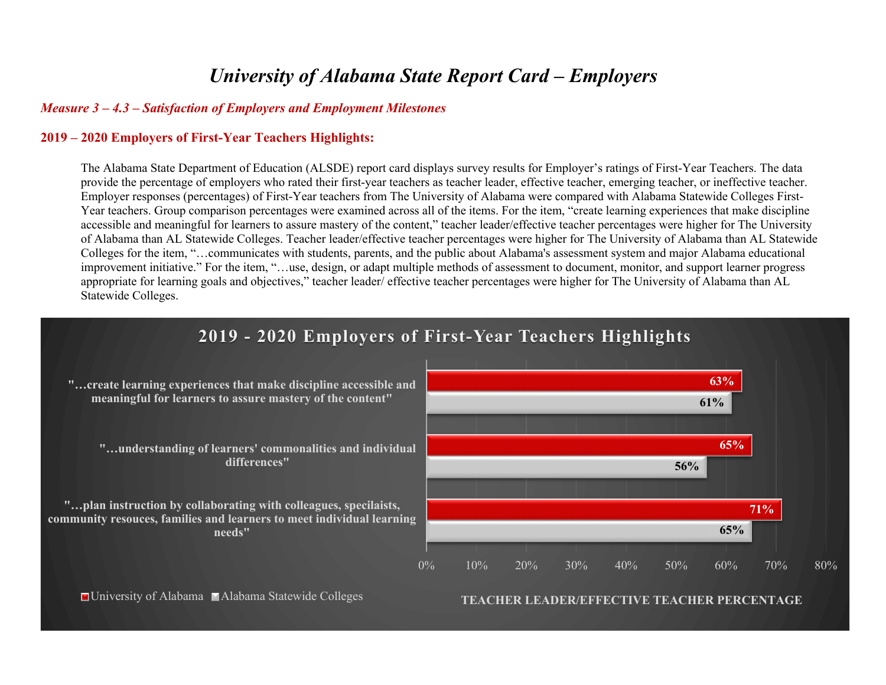# *University of Alabama State Report Card – Employers*

#### *Measure 3 – 4.3 – Satisfaction of Employers and Employment Milestones*

#### **2019 – 2020 Employers of First-Year Teachers Highlights:**

The Alabama State Department of Education (ALSDE) report card displays survey results for Employer's ratings of First-Year Teachers. The data provide the percentage of employers who rated their first-year teachers as teacher leader, effective teacher, emerging teacher, or ineffective teacher. Employer responses (percentages) of First-Year teachers from The University of Alabama were compared with Alabama Statewide Colleges First-Year teachers. Group comparison percentages were examined across all of the items. For the item, "create learning experiences that make discipline accessible and meaningful for learners to assure mastery of the content," teacher leader/effective teacher percentages were higher for The University of Alabama than AL Statewide Colleges. Teacher leader/effective teacher percentages were higher for The University of Alabama than AL Statewide Colleges for the item, "…communicates with students, parents, and the public about Alabama's assessment system and major Alabama educational improvement initiative." For the item, "…use, design, or adapt multiple methods of assessment to document, monitor, and support learner progress appropriate for learning goals and objectives," teacher leader/ effective teacher percentages were higher for The University of Alabama than AL Statewide Colleges.